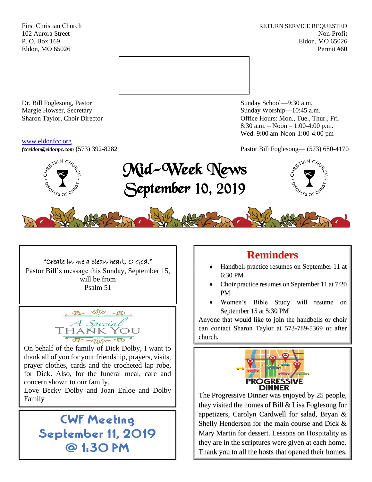First Christian Church **RETURN SERVICE REQUESTED** 102 Aurora Street Non-Profit P. O. Box 169 Eldon, MO 65026 Eldon, MO 65026 Permit #60



Dr. Bill Foglesong, Pastor Sunday School—9:30 a.m. Margie Howser, Secretary Sunday Worship—10:45 a.m.

#### [www.eldonfcc.org](http://www.eldonfcc.org/)

Sharon Taylor, Choir Director **Channel Controllering Controllering Controllering Controllering Controllering Controllering Controllering Controllering Controllering Controllering Controllering Controllering Controllering C** 8:30 a.m. – Noon – 1:00-4:00 p.m. Wed. 9:00 am-Noon-1:00-4:00 pm



*[fcceldon@eldonpc.com](mailto:fcceldon@eldonpc.com)* (573) 392-8282 Pastor Bill Foglesong— (573) 680-4170<br>  $\delta^{5}$   $\approx$   $\frac{1}{2}$  **Mid – Wook Noxie** Mid-Week News September 10, 2019



"Create in me a clean heart, O God." Pastor Bill's message this Sunday, September 15, will be from Psalm 51



On behalf of the family of Dick Dolby, I want to thank all of you for your friendship, prayers, visits, prayer clothes, cards and the crocheted lap robe, for Dick. Also, for the funeral meal, care and concern shown to our family.

Love Becky Dolby and Joan Enloe and Dolby

# CWF Meeting September 11, 2019 @ 1:30 PM

# **Reminders**

- Handbell practice resumes on September 11 at 6:30 PM
- Choir practice resumes on September 11 at 7:20 PM
- Women's Bible Study will resume on September 15 at 5:30 PM

Anyone that would like to join the handbells or choir can contact Sharon Taylor at 573-789-5369 or after church.



Family Every Bordy and Joan Emoc and Bordy The Progressive Dinner was enjoyed by 25 people, they visited the homes of Bill & Lisa Foglesong for appetizers, Carolyn Cardwell for salad, Bryan & Shelly Henderson for the main course and Dick & Mary Martin for dessert. Lessons on Hospitality as they are in the scriptures were given at each home. Thank you to all the hosts that opened their homes.